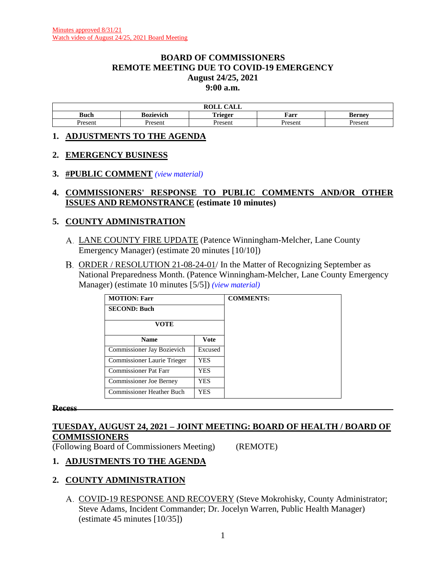## **BOARD OF COMMISSIONERS REMOTE MEETING DUE TO COVID-19 EMERGENCY August 24/25, 2021 9:00 a.m.**

|                 |                  | $\sim$ $\sim$ $\sim$<br><b>DATT</b><br>CALL<br>WAR |        |        |
|-----------------|------------------|----------------------------------------------------|--------|--------|
| Buch            | <b>Bozievich</b> | $\sim$<br><b>TIPOPT</b>                            | Farr   | Bernev |
| Jrocont<br>5ен. | Present          | Jrocon                                             | Presen | Jracan |

## **1. ADJUSTMENTS TO THE AGENDA**

## **2. EMERGENCY BUSINESS**

## **3. #PUBLIC COMMENT** *[\(view material\)](http://www.lanecountyor.gov/UserFiles/Servers/Server_3585797/File/Government/BCC/2021/2021_AGENDAS/082421agenda/T.3.pdf)*

**4. COMMISSIONERS' RESPONSE TO PUBLIC COMMENTS AND/OR OTHER ISSUES AND REMONSTRANCE (estimate 10 minutes)**

# **5. COUNTY ADMINISTRATION**

- LANE COUNTY FIRE UPDATE (Patence Winningham-Melcher, Lane County Emergency Manager) (estimate 20 minutes [10/10])
- B. ORDER / RESOLUTION 21-08-24-01/ In the Matter of Recognizing September as National Preparedness Month. (Patence Winningham-Melcher, Lane County Emergency Manager) (estimate 10 minutes [5/5]) *[\(view material\)](http://www.lanecountyor.gov/UserFiles/Servers/Server_3585797/File/Government/BCC/2021/2021_AGENDAS/082421agenda/T.5.B.pdf)*

| <b>MOTION: Farr</b>              |             |
|----------------------------------|-------------|
| <b>SECOND: Buch</b>              |             |
| <b>VOTE</b>                      |             |
| <b>Name</b>                      | <b>Vote</b> |
| Commissioner Jay Bozievich       | Excused     |
| Commissioner Laurie Trieger      | <b>YES</b>  |
| Commissioner Pat Farr            | YES.        |
| <b>Commissioner Joe Berney</b>   | YES.        |
| <b>Commissioner Heather Buch</b> | <b>YES</b>  |

#### **Recess**

# **TUESDAY, AUGUST 24, 2021 – JOINT MEETING: BOARD OF HEALTH / BOARD OF COMMISSIONERS**

(Following Board of Commissioners Meeting) (REMOTE)

# **1. ADJUSTMENTS TO THE AGENDA**

# **2. COUNTY ADMINISTRATION**

A. COVID-19 RESPONSE AND RECOVERY (Steve Mokrohisky, County Administrator; Steve Adams, Incident Commander; Dr. Jocelyn Warren, Public Health Manager) (estimate 45 minutes [10/35])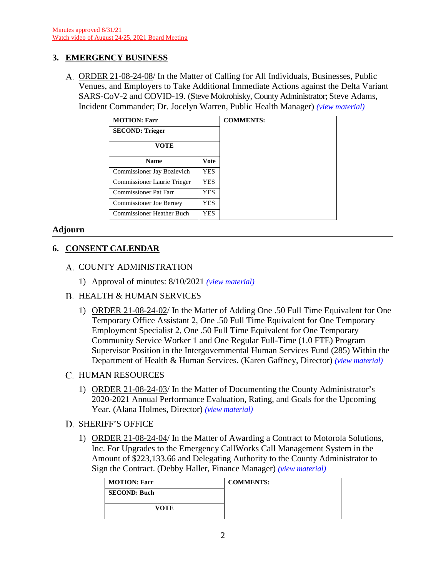# **3. EMERGENCY BUSINESS**

ORDER 21-08-24-08/ In the Matter of Calling for All Individuals, Businesses, Public Venues, and Employers to Take Additional Immediate Actions against the Delta Variant SARS-CoV-2 and COVID-19. (Steve Mokrohisky, County Administrator; Steve Adams, Incident Commander; Dr. Jocelyn Warren, Public Health Manager) *[\(view material\)](http://www.lanecountyor.gov/UserFiles/Servers/Server_3585797/File/Government/BCC/2021/2021_AGENDAS/082421agenda/T.3.A.BoH.pdf)*

| <b>MOTION: Farr</b>              |            | <b>COMMENTS:</b> |
|----------------------------------|------------|------------------|
| <b>SECOND: Trieger</b>           |            |                  |
| VOTE                             |            |                  |
| <b>Name</b>                      | Vote       |                  |
| Commissioner Jay Bozievich       | YES.       |                  |
| Commissioner Laurie Trieger      | YES.       |                  |
| <b>Commissioner Pat Farr</b>     | YES.       |                  |
| <b>Commissioner Joe Berney</b>   | <b>YES</b> |                  |
| <b>Commissioner Heather Buch</b> | YES.       |                  |

# **Adjourn**

# **6. CONSENT CALENDAR**

- A. COUNTY ADMINISTRATION
	- 1) Approval of minutes: 8/10/2021 *[\(view material\)](http://www.lanecountyor.gov/UserFiles/Servers/Server_3585797/File/Government/BCC/2021/2021_AGENDAS/082421agenda/T.6.A.1.pdf)*

# B. HEALTH & HUMAN SERVICES

1) ORDER 21-08-24-02/ In the Matter of Adding One .50 Full Time Equivalent for One Temporary Office Assistant 2, One .50 Full Time Equivalent for One Temporary Employment Specialist 2, One .50 Full Time Equivalent for One Temporary Community Service Worker 1 and One Regular Full-Time (1.0 FTE) Program Supervisor Position in the Intergovernmental Human Services Fund (285) Within the Department of Health & Human Services. (Karen Gaffney, Director) *[\(view material\)](http://www.lanecountyor.gov/UserFiles/Servers/Server_3585797/File/Government/BCC/2021/2021_AGENDAS/082421agenda/T.6.B.1.pdf)*

# C. HUMAN RESOURCES

- 1) ORDER 21-08-24-03/ In the Matter of Documenting the County Administrator's 2020-2021 Annual Performance Evaluation, Rating, and Goals for the Upcoming Year. (Alana Holmes, Director) *[\(view material\)](http://www.lanecountyor.gov/UserFiles/Servers/Server_3585797/File/Government/BCC/2021/2021_AGENDAS/082421agenda/T.6.C.1.pdf)*
- D. SHERIFF'S OFFICE
	- 1) ORDER 21-08-24-04/ In the Matter of Awarding a Contract to Motorola Solutions, Inc. For Upgrades to the Emergency CallWorks Call Management System in the Amount of \$223,133.66 and Delegating Authority to the County Administrator to Sign the Contract. (Debby Haller, Finance Manager) *[\(view material\)](http://www.lanecountyor.gov/UserFiles/Servers/Server_3585797/File/Government/BCC/2021/2021_AGENDAS/082421agenda/T.6.D.1.pdf)*

| <b>MOTION: Farr</b> | <b>COMMENTS:</b> |
|---------------------|------------------|
| <b>SECOND: Buch</b> |                  |
| VOTE                |                  |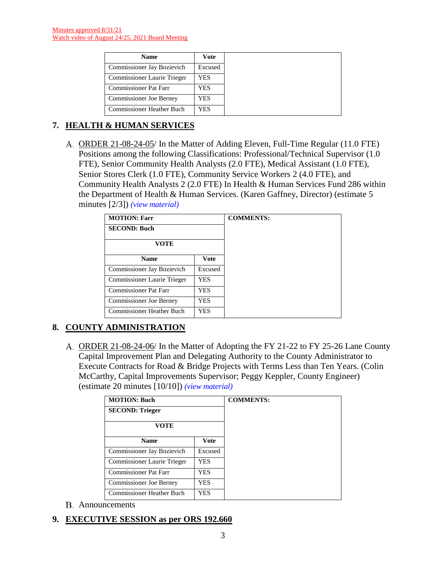| <b>Name</b>                        | <b>Vote</b> |
|------------------------------------|-------------|
| Commissioner Jay Bozievich         | Excused     |
| <b>Commissioner Laurie Trieger</b> | YES         |
| <b>Commissioner Pat Farr</b>       | YES         |
| <b>Commissioner Joe Berney</b>     | YES         |
| <b>Commissioner Heather Buch</b>   | YES         |

# **7. HEALTH & HUMAN SERVICES**

ORDER 21-08-24-05/ In the Matter of Adding Eleven, Full-Time Regular (11.0 FTE) Positions among the following Classifications: Professional/Technical Supervisor (1.0 FTE), Senior Community Health Analysts (2.0 FTE), Medical Assistant (1.0 FTE), Senior Stores Clerk (1.0 FTE), Community Service Workers 2 (4.0 FTE), and Community Health Analysts 2 (2.0 FTE) In Health & Human Services Fund 286 within the Department of Health & Human Services. (Karen Gaffney, Director) (estimate 5 minutes [2/3]) *[\(view material\)](http://www.lanecountyor.gov/UserFiles/Servers/Server_3585797/File/Government/BCC/2021/2021_AGENDAS/082421agenda/T.7.A.pdf)*

| <b>MOTION: Farr</b>            |            |
|--------------------------------|------------|
| <b>SECOND: Buch</b>            |            |
| <b>VOTE</b>                    |            |
| <b>Name</b>                    | Vote       |
| Commissioner Jay Bozievich     | Excused    |
| Commissioner Laurie Trieger    | <b>YES</b> |
| Commissioner Pat Farr          | <b>YES</b> |
| <b>Commissioner Joe Berney</b> | <b>YES</b> |
| Commissioner Heather Buch      | YES        |

# **8. COUNTY ADMINISTRATION**

A. ORDER 21-08-24-06/ In the Matter of Adopting the FY 21-22 to FY 25-26 Lane County Capital Improvement Plan and Delegating Authority to the County Administrator to Execute Contracts for Road & Bridge Projects with Terms Less than Ten Years. (Colin McCarthy, Capital Improvements Supervisor; Peggy Keppler, County Engineer) (estimate 20 minutes [10/10]) *[\(view material\)](http://www.lanecountyor.gov/UserFiles/Servers/Server_3585797/File/Government/BCC/2021/2021_AGENDAS/082421agenda/T.8.A.pdf)*

| <b>MOTION: Buch</b>            |             |
|--------------------------------|-------------|
| <b>SECOND: Trieger</b>         |             |
| <b>VOTE</b>                    |             |
| <b>Name</b>                    | <b>Vote</b> |
| Commissioner Jay Bozievich     | Excused     |
| Commissioner Laurie Trieger    | <b>YES</b>  |
| <b>Commissioner Pat Farr</b>   | <b>YES</b>  |
| <b>Commissioner Joe Berney</b> | <b>YES</b>  |
| Commissioner Heather Buch      | <b>YES</b>  |

Announcements

# **9. EXECUTIVE SESSION as per ORS 192.660**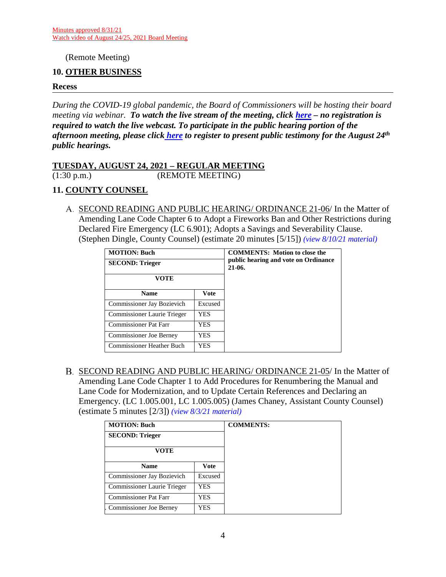(Remote Meeting)

## **10. OTHER BUSINESS**

#### **Recess**

*During the COVID-19 global pandemic, the Board of Commissioners will be hosting their board meeting via webinar. To watch the live stream of the meeting, click [here](https://lanecounty.org/cms/One.aspx?portalId=3585881&pageId=7842434) – no registration is required to watch the live webcast. To participate in the public hearing portion of the afternoon meeting, please click [here](https://attendee.gotowebinar.com/register/6667666526824222732) to register to present public testimony for the August 24th public hearings.*

#### **TUESDAY, AUGUST 24, 2021 – REGULAR MEETING** (1:30 p.m.) (REMOTE MEETING)

# **11. COUNTY COUNSEL**

A. SECOND READING AND PUBLIC HEARING/ ORDINANCE 21-06/ In the Matter of Amending Lane Code Chapter 6 to Adopt a Fireworks Ban and Other Restrictions during Declared Fire Emergency (LC 6.901); Adopts a Savings and Severability Clause. (Stephen Dingle, County Counsel) (estimate 20 minutes [5/15]) *(view 8/10/21 [material\)](http://www.lanecountyor.gov/UserFiles/Servers/Server_3585797/File/Government/BCC/2021/2021_AGENDAS/081021agenda/T.9.B.pdf)*

| <b>MOTION: Buch</b><br><b>SECOND: Trieger</b> |             | <b>COMMENTS:</b> Motion to close the<br>public hearing and vote on Ordinance<br>$21-06.$ |
|-----------------------------------------------|-------------|------------------------------------------------------------------------------------------|
| VOTE                                          |             |                                                                                          |
| <b>Name</b>                                   | <b>Vote</b> |                                                                                          |
| Commissioner Jay Bozievich                    | Excused     |                                                                                          |
| Commissioner Laurie Trieger                   | <b>YES</b>  |                                                                                          |
| <b>Commissioner Pat Farr</b>                  | YES         |                                                                                          |
| <b>Commissioner Joe Berney</b>                | <b>YES</b>  |                                                                                          |
| <b>Commissioner Heather Buch</b>              | <b>YES</b>  |                                                                                          |

B. SECOND READING AND PUBLIC HEARING/ ORDINANCE 21-05/ In the Matter of Amending Lane Code Chapter 1 to Add Procedures for Renumbering the Manual and Lane Code for Modernization, and to Update Certain References and Declaring an Emergency. (LC 1.005.001, LC 1.005.005) (James Chaney, Assistant County Counsel) (estimate 5 minutes [2/3]) *[\(view 8/3/21 material\)](http://www.lanecountyor.gov/UserFiles/Servers/Server_3585797/File/Government/BCC/2021/2021_AGENDAS/080321agenda/T.9.B.pdf)*

| <b>MOTION: Buch</b>          |             |
|------------------------------|-------------|
| <b>SECOND: Trieger</b>       |             |
| VOTE                         |             |
| <b>Name</b>                  | <b>Vote</b> |
| Commissioner Jay Bozievich   | Excused     |
| Commissioner Laurie Trieger  | <b>YES</b>  |
| <b>Commissioner Pat Farr</b> | YES         |
| Commissioner Joe Berney      | YES         |